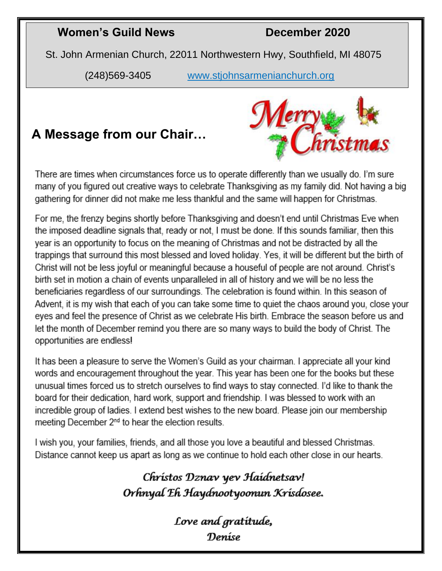## **Women's Guild News December 2020**

St. John Armenian Church, 22011 Northwestern Hwy, Southfield, MI 48075

(248)569-3405 [www.stjohnsarmenianchurch.org](http://www.stjohnsarmenianchurch.org/)

# **A Message from our Chair…**



There are times when circumstances force us to operate differently than we usually do. I'm sure many of you figured out creative ways to celebrate Thanksgiving as my family did. Not having a big gathering for dinner did not make me less thankful and the same will happen for Christmas.

For me, the frenzy begins shortly before Thanksgiving and doesn't end until Christmas Eve when the imposed deadline signals that, ready or not. I must be done. If this sounds familiar, then this year is an opportunity to focus on the meaning of Christmas and not be distracted by all the trappings that surround this most blessed and loved holiday. Yes, it will be different but the birth of Christ will not be less joyful or meaningful because a houseful of people are not around. Christ's birth set in motion a chain of events unparalleled in all of history and we will be no less the beneficiaries regardless of our surroundings. The celebration is found within. In this season of Advent, it is my wish that each of you can take some time to quiet the chaos around you, close your eyes and feel the presence of Christ as we celebrate His birth. Embrace the season before us and let the month of December remind you there are so many ways to build the body of Christ. The opportunities are endless!

It has been a pleasure to serve the Women's Guild as your chairman. I appreciate all your kind words and encouragement throughout the year. This year has been one for the books but these unusual times forced us to stretch ourselves to find ways to stay connected. I'd like to thank the board for their dedication, hard work, support and friendship. I was blessed to work with an incredible group of ladies. I extend best wishes to the new board. Please join our membership meeting December 2<sup>nd</sup> to hear the election results.

I wish you, your families, friends, and all those you love a beautiful and blessed Christmas. Distance cannot keep us apart as long as we continue to hold each other close in our hearts.

> Chrístos Dznav yev Haídnetsav! Orhnyal Eh Haydnootyoonun Krisdosee.

> > Love and gratitude, Deníse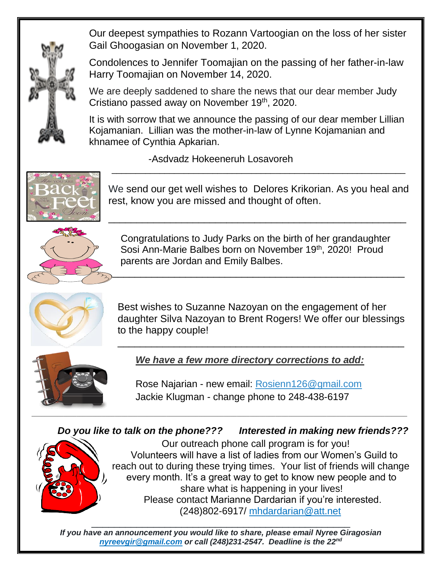Our deepest sympathies to Rozann Vartoogian on the loss of her sister Gail Ghoogasian on November 1, 2020.

Condolences to Jennifer Toomajian on the passing of her father-in-law Harry Toomajian on November 14, 2020.

We are deeply saddened to share the news that our dear member Judy Cristiano passed away on November 19<sup>th</sup>, 2020.

It is with sorrow that we announce the passing of our dear member Lillian Kojamanian. Lillian was the mother-in-law of Lynne Kojamanian and khnamee of Cynthia Apkarian.

-Asdvadz Hokeeneruh Losavoreh



We send our get well wishes to Delores Krikorian. As you heal and rest, know you are missed and thought of often.

\_\_\_\_\_\_\_\_\_\_\_\_\_\_\_\_\_\_\_\_\_\_\_\_\_\_\_\_\_\_\_\_\_\_\_\_\_\_\_\_\_\_\_\_\_\_\_\_\_\_\_\_\_

\_\_\_\_\_\_\_\_\_\_\_\_\_\_\_\_\_\_\_\_\_\_\_\_\_\_\_\_\_\_\_\_\_\_\_\_\_\_\_\_\_\_\_\_\_\_\_\_\_\_\_\_\_\_\_\_\_\_\_\_\_



 Congratulations to Judy Parks on the birth of her grandaughter Sosi Ann-Marie Balbes born on November 19<sup>th</sup>, 2020! Proud parents are Jordan and Emily Balbes.

\_\_\_\_\_\_\_\_\_\_\_\_\_\_\_\_\_\_\_\_\_\_\_\_\_\_\_\_\_\_\_\_\_\_\_\_\_\_\_\_\_\_\_\_\_\_\_\_\_\_\_\_



Best wishes to Suzanne Nazoyan on the engagement of her daughter Silva Nazoyan to Brent Rogers! We offer our blessings to the happy couple!

\_\_\_\_\_\_\_\_\_\_\_\_\_\_\_\_\_\_\_\_\_\_\_\_\_\_\_\_\_\_\_\_\_\_\_\_\_\_\_\_\_\_\_\_\_\_\_\_\_\_\_



*We have a few more directory corrections to add:* 

Rose Najarian - new email: [Rosienn126@gmail.com](mailto:Rosienn126@gmail.com)  Jackie Klugman - change phone to 248-438-6197

### *Do you like to talk on the phone??? Interested in making new friends???*



Our outreach phone call program is for you! Volunteers will have a list of ladies from our Women's Guild to reach out to during these trying times. Your list of friends will change every month. It's a great way to get to know new people and to share what is happening in your lives! Please contact Marianne Dardarian if you're interested. (248)802-6917/ [mhdardarian@att.net](mailto:mhdardarian@att.net) 

\_\_\_\_\_\_\_\_\_\_\_\_\_\_\_\_\_\_\_\_\_\_\_\_\_\_\_\_\_\_\_\_\_\_\_\_\_\_\_\_\_\_\_\_\_\_ *If you have an announcement you would like to share, please email Nyree Giragosian [nyreevgir@gmail.com](mailto:nyreevgir@gmail.com) or call (248)231-2547. Deadline is the 22nd*

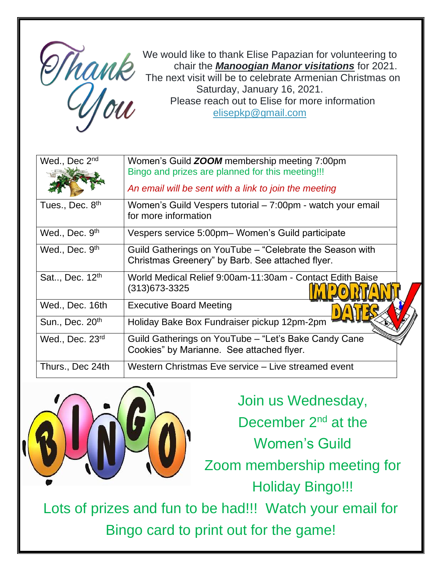

We would like to thank Elise Papazian for volunteering to chair the *Manoogian Manor visitations* for 2021. The next visit will be to celebrate Armenian Christmas on Saturday, January 16, 2021. Please reach out to Elise for more information [elisepkp@gmail.com](mailto:elisepkp@gmail.com)

| Wed., Dec 2nd              | Women's Guild <b>ZOOM</b> membership meeting 7:00pm<br>Bingo and prizes are planned for this meeting!!!      |
|----------------------------|--------------------------------------------------------------------------------------------------------------|
|                            | An email will be sent with a link to join the meeting                                                        |
| Tues., Dec. 8th            | Women's Guild Vespers tutorial – 7:00pm - watch your email<br>for more information                           |
| Wed., Dec. 9th             | Vespers service 5:00pm- Women's Guild participate                                                            |
| Wed., Dec. 9 <sup>th</sup> | Guild Gatherings on YouTube – "Celebrate the Season with<br>Christmas Greenery" by Barb. See attached flyer. |
| Sat, Dec. 12 <sup>th</sup> | World Medical Relief 9:00am-11:30am - Contact Edith Baise<br>(313)673-3325                                   |
| Wed., Dec. 16th            | <b>Executive Board Meeting</b>                                                                               |
| Sun., Dec. 20th            | Holiday Bake Box Fundraiser pickup 12pm-2pm                                                                  |
| Wed., Dec. 23rd            | Guild Gatherings on YouTube - "Let's Bake Candy Cane<br>Cookies" by Marianne. See attached flyer.            |
| Thurs., Dec 24th           | Western Christmas Eve service - Live streamed event                                                          |



Join us Wednesday, December 2<sup>nd</sup> at the

Women's Guild

Zoom membership meeting for Holiday Bingo!!!

Lots of prizes and fun to be had!!! Watch your email for Bingo card to print out for the game!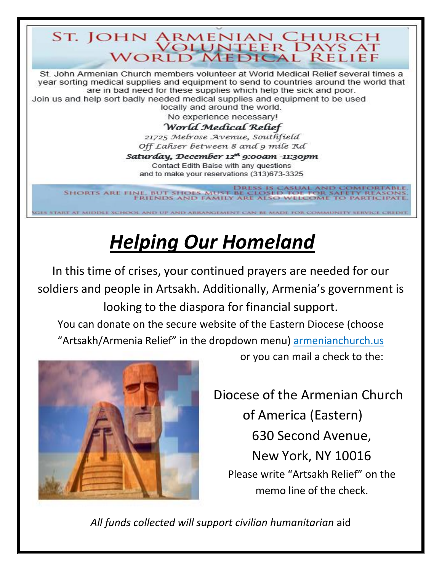# ST. JOHN ARMENIAN CHURCH<br>WORLD MEDICAL RELIEF

St. John Armenian Church members volunteer at World Medical Relief several times a year sorting medical supplies and equipment to send to countries around the world that are in bad need for these supplies which help the sick and poor. Join us and help sort badly needed medical supplies and equipment to be used locally and around the world.

No experience necessary!

#### World Medical Relief

21725 Melrose Avenue, Southfield Off Lahser between 8 and 9 mile Rd

Saturday, December 12<sup>th</sup> 9:00am -11:30pm Contact Edith Baise with any questions and to make your reservations (313)673-3325

DRESS IS CASUAL AND COMFORTABLE<br>SHORTS ARE FINE, BUT SHOLS MUST BE CLOSED TOE FOR SAFETY REASONS<br>FRIENDS AND FAMILY ARE ALSO WELCOME TO PARTICIPATE

HOOL AND UP AND ABJUNNATIONENT CAN BE MADE FOR COMMUNITY SERVICE

# *Helping Our Homeland*

In this time of crises, your continued prayers are needed for our soldiers and people in Artsakh. Additionally, Armenia's government is looking to the diaspora for financial support. You can donate on the secure website of the Eastern Diocese (choose "Artsakh/Armenia Relief" in the dropdown menu) [armenianchurch.us](https://d.docs.live.net/b53d6e504f3113ad/Documents/armenianchurch.us)



֠

or you can mail a check to the:

Diocese of the Armenian Church of America (Eastern) 630 Second Avenue, New York, NY 10016 Please write "Artsakh Relief" on the memo line of the check.

*All funds collected will support civilian humanitarian* aid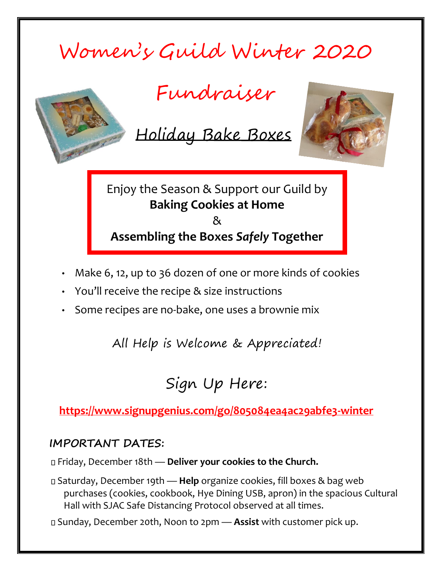# Women's Guild Winter 2020



Fundraiser

Holiday Bake Boxes



Enjoy the Season & Support our Guild by **Baking Cookies at Home**  & **Assembling the Boxes** *Safely* **Together** 

- Make 6, 12, up to 36 dozen of one or more kinds of cookies
- You'll receive the recipe & size instructions
- Some recipes are no-bake, one uses a brownie mix

All Help is Welcome & Appreciated!

# Sign Up Here:

**<https://www.signupgenius.com/go/805084ea4ac29abfe3-winter>**

### **IMPORTANT DATES:**

Friday, December 18th — **Deliver your cookies to the Church.**

Saturday, December 19th — **Help** organize cookies, fill boxes & bag web purchases (cookies, cookbook, Hye Dining USB, apron) in the spacious Cultural Hall with SJAC Safe Distancing Protocol observed at all times.

Sunday, December 20th, Noon to 2pm — **Assist** with customer pick up.